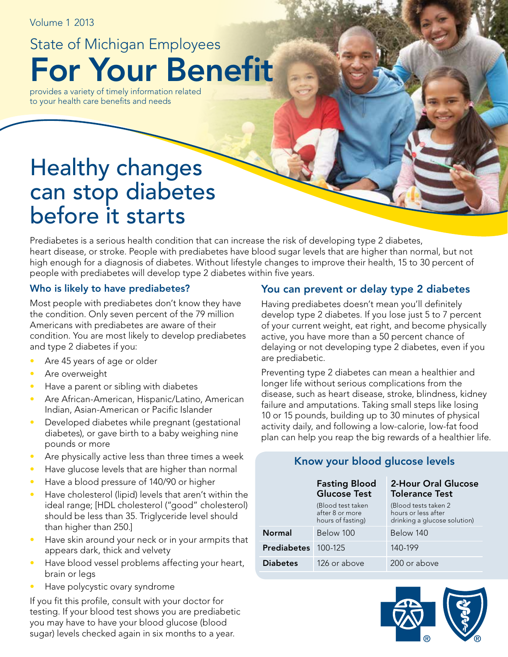Volume 1 2013

For Your Benefit State of Michigan Employees

provides a variety of timely information related to your health care benefits and needs

# Healthy changes can stop diabetes before it starts

Prediabetes is a serious health condition that can increase the risk of developing type 2 diabetes, heart disease, or stroke. People with prediabetes have blood sugar levels that are higher than normal, but not high enough for a diagnosis of diabetes. Without lifestyle changes to improve their health, 15 to 30 percent of people with prediabetes will develop type 2 diabetes within five years.

#### Who is likely to have prediabetes?

Most people with prediabetes don't know they have the condition. Only seven percent of the 79 million Americans with prediabetes are aware of their condition. You are most likely to develop prediabetes and type 2 diabetes if you:

- Are 45 years of age or older
- Are overweight
- Have a parent or sibling with diabetes
- Are African-American, Hispanic/Latino, American Indian, Asian-American or Pacific Islander
- Developed diabetes while pregnant (gestational diabetes), or gave birth to a baby weighing nine pounds or more
- Are physically active less than three times a week
- Have glucose levels that are higher than normal
- Have a blood pressure of 140/90 or higher
- Have cholesterol (lipid) levels that aren't within the ideal range; [HDL cholesterol ("good" cholesterol) should be less than 35. Triglyceride level should than higher than 250.]
- Have skin around your neck or in your armpits that appears dark, thick and velvety
- Have blood vessel problems affecting your heart, brain or legs
- Have polycystic ovary syndrome

If you fit this profile, consult with your doctor for testing. If your blood test shows you are prediabetic you may have to have your blood glucose (blood sugar) levels checked again in six months to a year.

## You can prevent or delay type 2 diabetes

Having prediabetes doesn't mean you'll definitely develop type 2 diabetes. If you lose just 5 to 7 percent of your current weight, eat right, and become physically active, you have more than a 50 percent chance of delaying or not developing type 2 diabetes, even if you are prediabetic.

Preventing type 2 diabetes can mean a healthier and longer life without serious complications from the disease, such as heart disease, stroke, blindness, kidney failure and amputations. Taking small steps like losing 10 or 15 pounds, building up to 30 minutes of physical activity daily, and following a low-calorie, low-fat food plan can help you reap the big rewards of a healthier life.

#### Fasting Blood Glucose Test (Blood test taken after 8 or more hours of fasting) 2-Hour Oral Glucose Tolerance Test (Blood tests taken 2 hours or less after drinking a glucose solution) Normal Below 100 Below 140 **Prediabetes** 100-125 140-199 Diabetes 126 or above 200 or above

Know your blood glucose levels

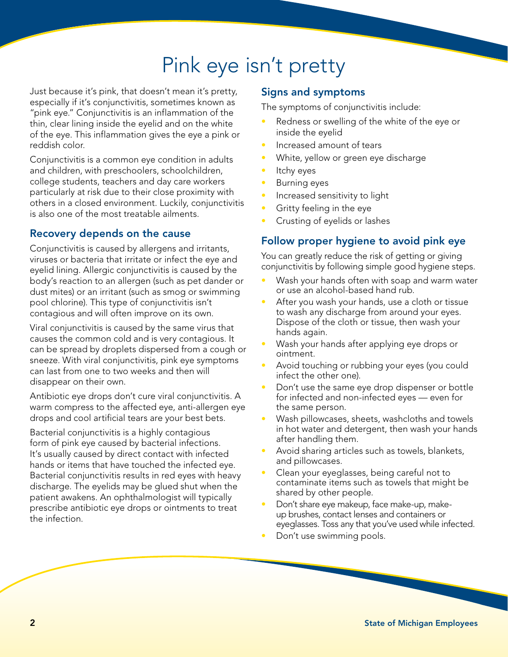# Pink eye isn't pretty

Just because it's pink, that doesn't mean it's pretty, especially if it's conjunctivitis, sometimes known as "pink eye." Conjunctivitis is an inflammation of the thin, clear lining inside the eyelid and on the white of the eye. This inflammation gives the eye a pink or reddish color.

Conjunctivitis is a common eye condition in adults and children, with preschoolers, schoolchildren, college students, teachers and day care workers particularly at risk due to their close proximity with others in a closed environment. Luckily, conjunctivitis is also one of the most treatable ailments.

# Recovery depends on the cause

Conjunctivitis is caused by allergens and irritants, viruses or bacteria that irritate or infect the eye and eyelid lining. Allergic conjunctivitis is caused by the body's reaction to an allergen (such as pet dander or dust mites) or an irritant (such as smog or swimming pool chlorine). This type of conjunctivitis isn't contagious and will often improve on its own.

Viral conjunctivitis is caused by the same virus that causes the common cold and is very contagious. It can be spread by droplets dispersed from a cough or sneeze. With viral conjunctivitis, pink eye symptoms can last from one to two weeks and then will disappear on their own.

Antibiotic eye drops don't cure viral conjunctivitis. A warm compress to the affected eye, anti-allergen eye drops and cool artificial tears are your best bets.

Bacterial conjunctivitis is a highly contagious form of pink eye caused by bacterial infections. It's usually caused by direct contact with infected hands or items that have touched the infected eye. Bacterial conjunctivitis results in red eyes with heavy discharge. The eyelids may be glued shut when the patient awakens. An ophthalmologist will typically prescribe antibiotic eye drops or ointments to treat the infection.

## Signs and symptoms

The symptoms of conjunctivitis include:

- Redness or swelling of the white of the eye or inside the eyelid
- Increased amount of tears
- White, yellow or green eye discharge
- Itchy eyes
- Burning eyes
- Increased sensitivity to light
- Gritty feeling in the eye
- Crusting of eyelids or lashes

## Follow proper hygiene to avoid pink eye

You can greatly reduce the risk of getting or giving conjunctivitis by following simple good hygiene steps.

- Wash your hands often with soap and warm water or use an alcohol-based hand rub.
- After you wash your hands, use a cloth or tissue to wash any discharge from around your eyes. Dispose of the cloth or tissue, then wash your hands again.
- Wash your hands after applying eye drops or ointment.
- Avoid touching or rubbing your eyes (you could infect the other one).
- Don't use the same eye drop dispenser or bottle for infected and non-infected eyes — even for the same person.
- Wash pillowcases, sheets, washcloths and towels in hot water and detergent, then wash your hands after handling them.
- Avoid sharing articles such as towels, blankets, and pillowcases.
- Clean your eyeglasses, being careful not to contaminate items such as towels that might be shared by other people.
- Don't share eye makeup, face make-up, makeup brushes, contact lenses and containers or eyeglasses. Toss any that you've used while infected.
- Don't use swimming pools.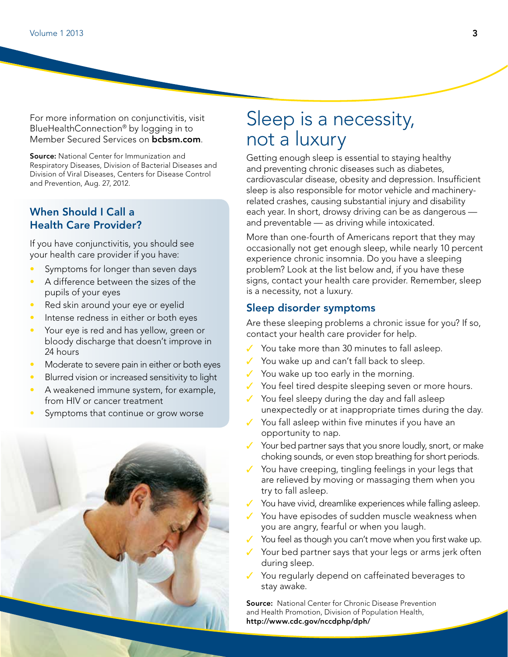For more information on conjunctivitis, visit BlueHealthConnection® by logging in to Member Secured Services on **bcbsm.com**.

**Source:** National Center for Immunization and Respiratory Diseases, Division of Bacterial Diseases and Division of Viral Diseases, Centers for Disease Control and Prevention, Aug. 27, 2012.

### When Should I Call a Health Care Provider?

If you have conjunctivitis, you should see your health care provider if you have:

- Symptoms for longer than seven days
- A difference between the sizes of the pupils of your eyes
- Red skin around your eye or eyelid
- Intense redness in either or both eyes
- Your eye is red and has yellow, green or bloody discharge that doesn't improve in 24 hours
- Moderate to severe pain in either or both eyes
- Blurred vision or increased sensitivity to light
- A weakened immune system, for example, from HIV or cancer treatment
- Symptoms that continue or grow worse

# Sleep is a necessity, not a luxury

Getting enough sleep is essential to staying healthy and preventing chronic diseases such as diabetes, cardiovascular disease, obesity and depression. Insufficient sleep is also responsible for motor vehicle and machineryrelated crashes, causing substantial injury and disability each year. In short, drowsy driving can be as dangerous and preventable — as driving while intoxicated.

More than one-fourth of Americans report that they may occasionally not get enough sleep, while nearly 10 percent experience chronic insomnia. Do you have a sleeping problem? Look at the list below and, if you have these signs, contact your health care provider. Remember, sleep is a necessity, not a luxury.

#### Sleep disorder symptoms

Are these sleeping problems a chronic issue for you? If so, contact your health care provider for help.

- You take more than 30 minutes to fall asleep.
- ✓ You wake up and can't fall back to sleep.
- ✓ You wake up too early in the morning.
- ✓ You feel tired despite sleeping seven or more hours.
- ✓ You feel sleepy during the day and fall asleep unexpectedly or at inappropriate times during the day.
- ✓ You fall asleep within five minutes if you have an opportunity to nap.
- ✓ Your bed partner says that you snore loudly, snort, or make choking sounds, or even stop breathing for short periods.
- You have creeping, tingling feelings in your legs that are relieved by moving or massaging them when you try to fall asleep.
- You have vivid, dreamlike experiences while falling asleep.
- You have episodes of sudden muscle weakness when you are angry, fearful or when you laugh.
- $\checkmark$  You feel as though you can't move when you first wake up.
- Your bed partner says that your legs or arms jerk often during sleep.
- You regularly depend on caffeinated beverages to stay awake.

**Source:** National Center for Chronic Disease Prevention and Health Promotion, Division of Population Health, http://www.cdc.gov/nccdphp/dph/